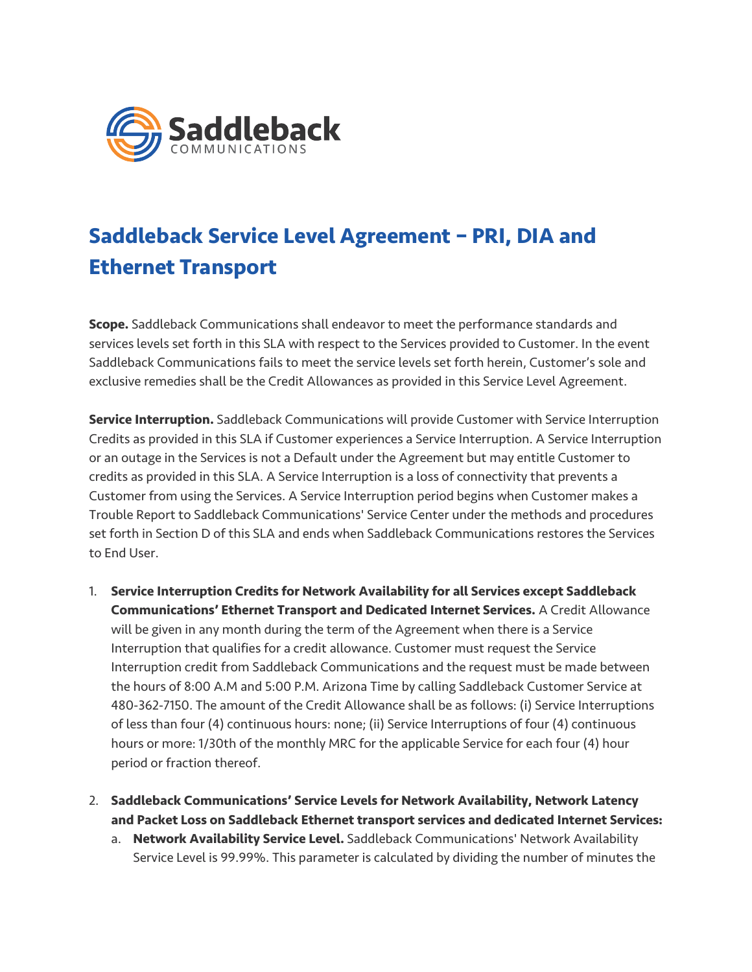

## **Saddleback Service Level Agreement – PRI, DIA and Ethernet Transport**

**Scope.** Saddleback Communications shall endeavor to meet the performance standards and services levels set forth in this SLA with respect to the Services provided to Customer. In the event Saddleback Communications fails to meet the service levels set forth herein, Customer's sole and exclusive remedies shall be the Credit Allowances as provided in this Service Level Agreement.

**Service Interruption.** Saddleback Communications will provide Customer with Service Interruption Credits as provided in this SLA if Customer experiences a Service Interruption. A Service Interruption or an outage in the Services is not a Default under the Agreement but may entitle Customer to credits as provided in this SLA. A Service Interruption is a loss of connectivity that prevents a Customer from using the Services. A Service Interruption period begins when Customer makes a Trouble Report to Saddleback Communications' Service Center under the methods and procedures set forth in Section D of this SLA and ends when Saddleback Communications restores the Services to End User.

- 1. **Service Interruption Credits for Network Availability for all Services except Saddleback Communications' Ethernet Transport and Dedicated Internet Services.** A Credit Allowance will be given in any month during the term of the Agreement when there is a Service Interruption that qualifies for a credit allowance. Customer must request the Service Interruption credit from Saddleback Communications and the request must be made between the hours of 8:00 A.M and 5:00 P.M. Arizona Time by calling Saddleback Customer Service at 480-362-7150. The amount of the Credit Allowance shall be as follows: (i) Service Interruptions of less than four (4) continuous hours: none; (ii) Service Interruptions of four (4) continuous hours or more: 1/30th of the monthly MRC for the applicable Service for each four (4) hour period or fraction thereof.
- 2. **Saddleback Communications' Service Levels for Network Availability, Network Latency and Packet Loss on Saddleback Ethernet transport services and dedicated Internet Services:**
	- a. **Network Availability Service Level.** Saddleback Communications' Network Availability Service Level is 99.99%. This parameter is calculated by dividing the number of minutes the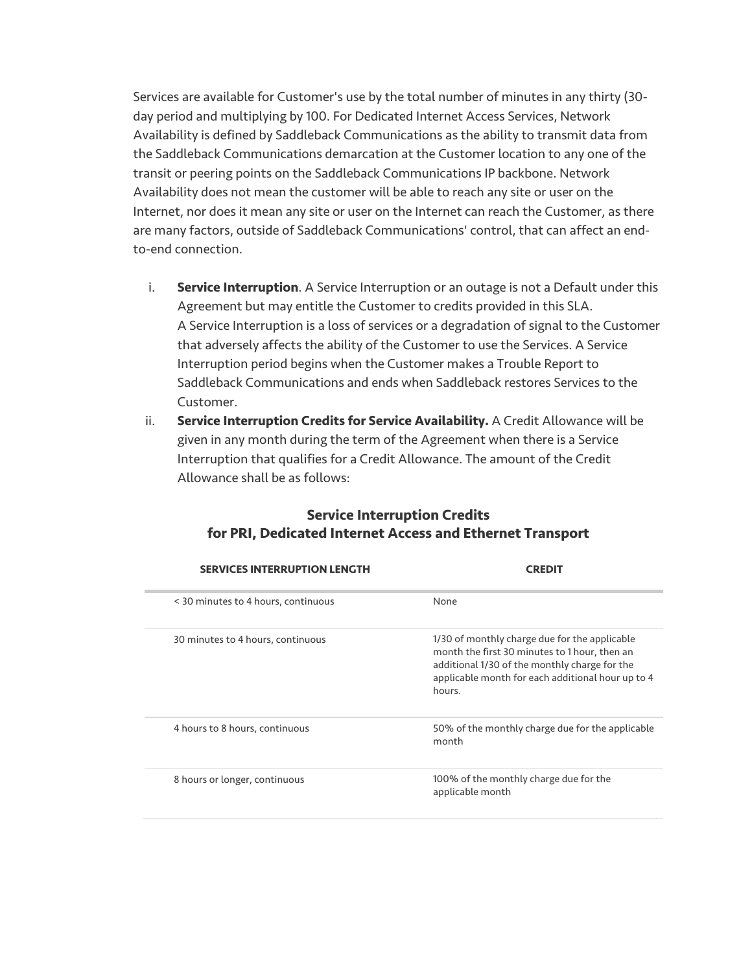Services are available for Customer's use by the total number of minutes in any thirty (30 day period and multiplying by 100. For Dedicated Internet Access Services, Network Availability is defined by Saddleback Communications as the ability to transmit data from the Saddleback Communications demarcation at the Customer location to any one of the transit or peering points on the Saddleback Communications IP backbone. Network Availability does not mean the customer will be able to reach any site or user on the Internet, nor does it mean any site or user on the Internet can reach the Customer, as there are many factors, outside of Saddleback Communications' control, that can affect an endto-end connection.

- i. **Service Interruption**. A Service Interruption or an outage is not a Default under this Agreement but may entitle the Customer to credits provided in this SLA. A Service Interruption is a loss of services or a degradation of signal to the Customer that adversely affects the ability of the Customer to use the Services. A Service Interruption period begins when the Customer makes a Trouble Report to Saddleback Communications and ends when Saddleback restores Services to the Customer.
- ii. **Service Interruption Credits for Service Availability.** A Credit Allowance will be given in any month during the term of the Agreement when there is a Service Interruption that qualifies for a Credit Allowance. The amount of the Credit Allowance shall be as follows:

| <b>SERVICES INTERRUPTION LENGTH</b> | <b>CREDIT</b>                                                                                                                                                                                                  |
|-------------------------------------|----------------------------------------------------------------------------------------------------------------------------------------------------------------------------------------------------------------|
| < 30 minutes to 4 hours, continuous | None                                                                                                                                                                                                           |
| 30 minutes to 4 hours, continuous   | 1/30 of monthly charge due for the applicable<br>month the first 30 minutes to 1 hour, then an<br>additional 1/30 of the monthly charge for the<br>applicable month for each additional hour up to 4<br>hours. |
| 4 hours to 8 hours, continuous      | 50% of the monthly charge due for the applicable<br>month                                                                                                                                                      |
| 8 hours or longer, continuous       | 100% of the monthly charge due for the<br>applicable month                                                                                                                                                     |

## **Service Interruption Credits for PRI, Dedicated Internet Access and Ethernet Transport**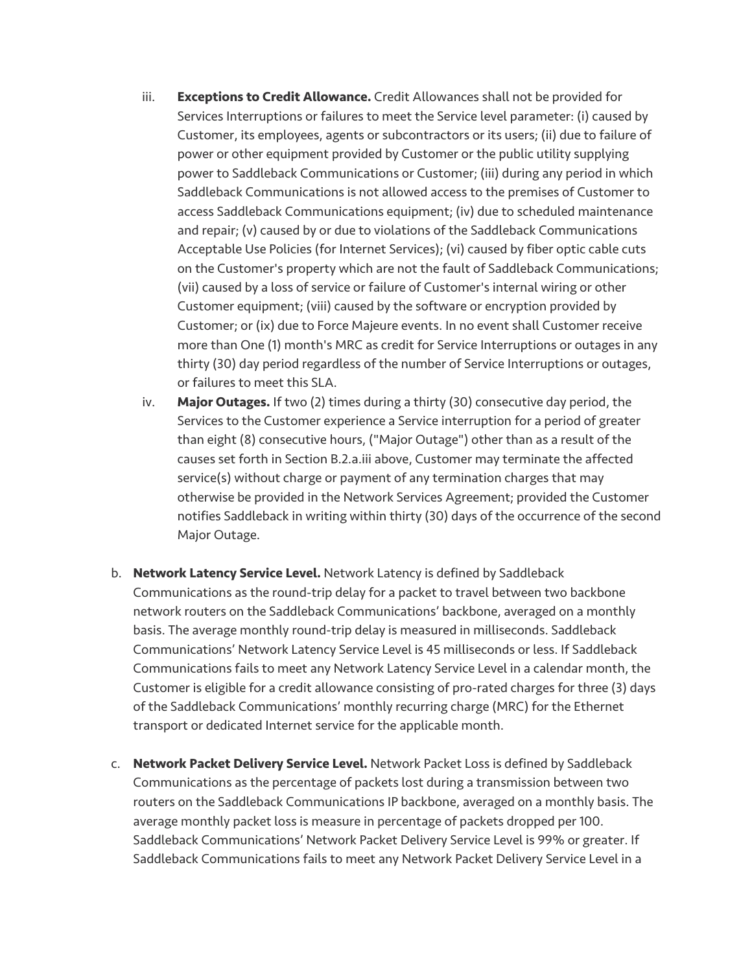- iii. **Exceptions to Credit Allowance.** Credit Allowances shall not be provided for Services Interruptions or failures to meet the Service level parameter: (i) caused by Customer, its employees, agents or subcontractors or its users; (ii) due to failure of power or other equipment provided by Customer or the public utility supplying power to Saddleback Communications or Customer; (iii) during any period in which Saddleback Communications is not allowed access to the premises of Customer to access Saddleback Communications equipment; (iv) due to scheduled maintenance and repair; (v) caused by or due to violations of the Saddleback Communications Acceptable Use Policies (for Internet Services); (vi) caused by fiber optic cable cuts on the Customer's property which are not the fault of Saddleback Communications; (vii) caused by a loss of service or failure of Customer's internal wiring or other Customer equipment; (viii) caused by the software or encryption provided by Customer; or (ix) due to Force Majeure events. In no event shall Customer receive more than One (1) month's MRC as credit for Service Interruptions or outages in any thirty (30) day period regardless of the number of Service Interruptions or outages, or failures to meet this SLA.
- iv. **Major Outages.** If two (2) times during a thirty (30) consecutive day period, the Services to the Customer experience a Service interruption for a period of greater than eight (8) consecutive hours, ("Major Outage") other than as a result of the causes set forth in Section B.2.a.iii above, Customer may terminate the affected service(s) without charge or payment of any termination charges that may otherwise be provided in the Network Services Agreement; provided the Customer notifies Saddleback in writing within thirty (30) days of the occurrence of the second Major Outage.
- b. **Network Latency Service Level.** Network Latency is defined by Saddleback Communications as the round-trip delay for a packet to travel between two backbone network routers on the Saddleback Communications' backbone, averaged on a monthly basis. The average monthly round-trip delay is measured in milliseconds. Saddleback Communications' Network Latency Service Level is 45 milliseconds or less. If Saddleback Communications fails to meet any Network Latency Service Level in a calendar month, the Customer is eligible for a credit allowance consisting of pro-rated charges for three (3) days of the Saddleback Communications' monthly recurring charge (MRC) for the Ethernet transport or dedicated Internet service for the applicable month.
- c. **Network Packet Delivery Service Level.** Network Packet Loss is defined by Saddleback Communications as the percentage of packets lost during a transmission between two routers on the Saddleback Communications IP backbone, averaged on a monthly basis. The average monthly packet loss is measure in percentage of packets dropped per 100. Saddleback Communications' Network Packet Delivery Service Level is 99% or greater. If Saddleback Communications fails to meet any Network Packet Delivery Service Level in a